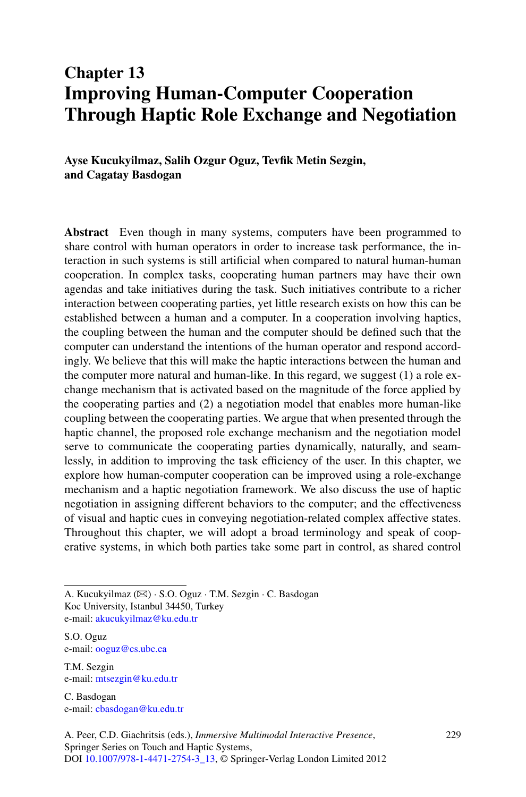# **Chapter 13 Improving Human-Computer Cooperation Through Haptic Role Exchange and Negotiation**

**Ayse Kucukyilmaz, Salih Ozgur Oguz, Tevfik Metin Sezgin, and Cagatay Basdogan**

**Abstract** Even though in many systems, computers have been programmed to share control with human operators in order to increase task performance, the interaction in such systems is still artificial when compared to natural human-human cooperation. In complex tasks, cooperating human partners may have their own agendas and take initiatives during the task. Such initiatives contribute to a richer interaction between cooperating parties, yet little research exists on how this can be established between a human and a computer. In a cooperation involving haptics, the coupling between the human and the computer should be defined such that the computer can understand the intentions of the human operator and respond accordingly. We believe that this will make the haptic interactions between the human and the computer more natural and human-like. In this regard, we suggest (1) a role exchange mechanism that is activated based on the magnitude of the force applied by the cooperating parties and (2) a negotiation model that enables more human-like coupling between the cooperating parties. We argue that when presented through the haptic channel, the proposed role exchange mechanism and the negotiation model serve to communicate the cooperating parties dynamically, naturally, and seamlessly, in addition to improving the task efficiency of the user. In this chapter, we explore how human-computer cooperation can be improved using a role-exchange mechanism and a haptic negotiation framework. We also discuss the use of haptic negotiation in assigning different behaviors to the computer; and the effectiveness of visual and haptic cues in conveying negotiation-related complex affective states. Throughout this chapter, we will adopt a broad terminology and speak of cooperative systems, in which both parties take some part in control, as shared control

T.M. Sezgin e-mail: [mtsezgin@ku.edu.tr](mailto:mtsezgin@ku.edu.tr)

C. Basdogan e-mail: [cbasdogan@ku.edu.tr](mailto:cbasdogan@ku.edu.tr)

A. Peer, C.D. Giachritsis (eds.), *Immersive Multimodal Interactive Presence*, Springer Series on Touch and Haptic Systems, DOI [10.1007/978-1-4471-2754-3\\_13,](http://dx.doi.org/10.1007/978-1-4471-2754-3_13) © Springer-Verlag London Limited 2012

A. Kucukyilmaz ( $\boxtimes$ ) · S.O. Oguz · T.M. Sezgin · C. Basdogan Koc University, Istanbul 34450, Turkey e-mail: [akucukyilmaz@ku.edu.tr](mailto:akucukyilmaz@ku.edu.tr)

S.O. Oguz e-mail: [ooguz@cs.ubc.ca](mailto:ooguz@cs.ubc.ca)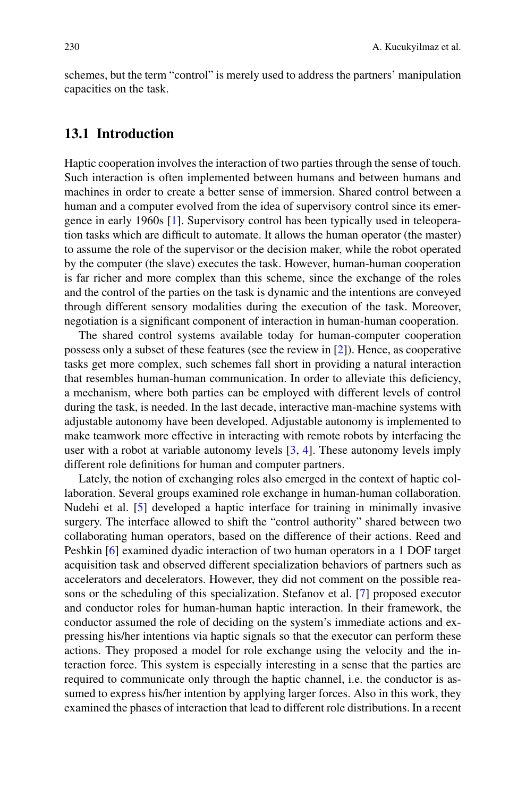schemes, but the term "control" is merely used to address the partners' manipulation capacities on the task.

### **13.1 Introduction**

Haptic cooperation involves the interaction of two parties through the sense of touch. Such interaction is often implemented between humans and between humans and machines in order to create a better sense of immersion. Shared control between a human and a computer evolved from the idea of supervisory control since its emergence in early 1960s [\[1](#page-24-0)]. Supervisory control has been typically used in teleoperation tasks which are difficult to automate. It allows the human operator (the master) to assume the role of the supervisor or the decision maker, while the robot operated by the computer (the slave) executes the task. However, human-human cooperation is far richer and more complex than this scheme, since the exchange of the roles and the control of the parties on the task is dynamic and the intentions are conveyed through different sensory modalities during the execution of the task. Moreover, negotiation is a significant component of interaction in human-human cooperation.

The shared control systems available today for human-computer cooperation possess only a subset of these features (see the review in [\[2](#page-24-1)]). Hence, as cooperative tasks get more complex, such schemes fall short in providing a natural interaction that resembles human-human communication. In order to alleviate this deficiency, a mechanism, where both parties can be employed with different levels of control during the task, is needed. In the last decade, interactive man-machine systems with adjustable autonomy have been developed. Adjustable autonomy is implemented to make teamwork more effective in interacting with remote robots by interfacing the user with a robot at variable autonomy levels  $[3, 4]$  $[3, 4]$  $[3, 4]$  $[3, 4]$ . These autonomy levels imply different role definitions for human and computer partners.

Lately, the notion of exchanging roles also emerged in the context of haptic collaboration. Several groups examined role exchange in human-human collaboration. Nudehi et al. [[5\]](#page-24-4) developed a haptic interface for training in minimally invasive surgery. The interface allowed to shift the "control authority" shared between two collaborating human operators, based on the difference of their actions. Reed and Peshkin [\[6](#page-24-5)] examined dyadic interaction of two human operators in a 1 DOF target acquisition task and observed different specialization behaviors of partners such as accelerators and decelerators. However, they did not comment on the possible reasons or the scheduling of this specialization. Stefanov et al. [[7\]](#page-24-6) proposed executor and conductor roles for human-human haptic interaction. In their framework, the conductor assumed the role of deciding on the system's immediate actions and expressing his/her intentions via haptic signals so that the executor can perform these actions. They proposed a model for role exchange using the velocity and the interaction force. This system is especially interesting in a sense that the parties are required to communicate only through the haptic channel, i.e. the conductor is assumed to express his/her intention by applying larger forces. Also in this work, they examined the phases of interaction that lead to different role distributions. In a recent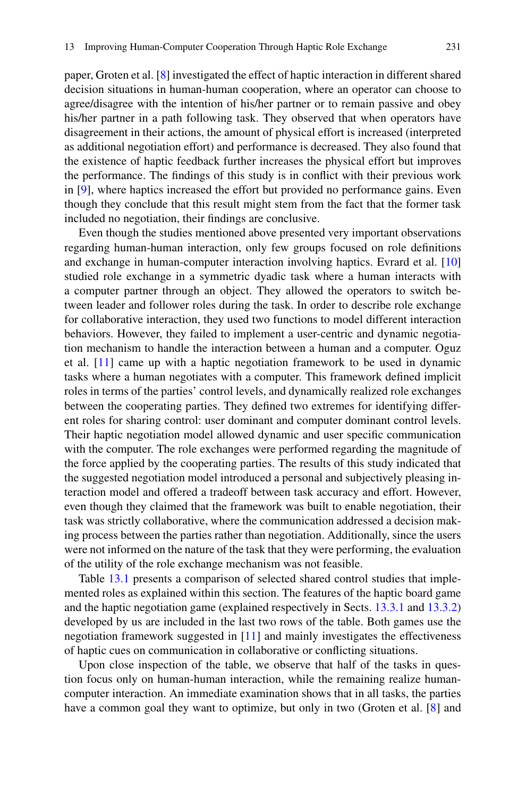paper, Groten et al. [[8\]](#page-24-7) investigated the effect of haptic interaction in different shared decision situations in human-human cooperation, where an operator can choose to agree/disagree with the intention of his/her partner or to remain passive and obey his/her partner in a path following task. They observed that when operators have disagreement in their actions, the amount of physical effort is increased (interpreted as additional negotiation effort) and performance is decreased. They also found that the existence of haptic feedback further increases the physical effort but improves the performance. The findings of this study is in conflict with their previous work in [[9\]](#page-24-8), where haptics increased the effort but provided no performance gains. Even though they conclude that this result might stem from the fact that the former task included no negotiation, their findings are conclusive.

Even though the studies mentioned above presented very important observations regarding human-human interaction, only few groups focused on role definitions and exchange in human-computer interaction involving haptics. Evrard et al. [\[10](#page-25-0)] studied role exchange in a symmetric dyadic task where a human interacts with a computer partner through an object. They allowed the operators to switch between leader and follower roles during the task. In order to describe role exchange for collaborative interaction, they used two functions to model different interaction behaviors. However, they failed to implement a user-centric and dynamic negotiation mechanism to handle the interaction between a human and a computer. Oguz et al. [[11\]](#page-25-1) came up with a haptic negotiation framework to be used in dynamic tasks where a human negotiates with a computer. This framework defined implicit roles in terms of the parties' control levels, and dynamically realized role exchanges between the cooperating parties. They defined two extremes for identifying different roles for sharing control: user dominant and computer dominant control levels. Their haptic negotiation model allowed dynamic and user specific communication with the computer. The role exchanges were performed regarding the magnitude of the force applied by the cooperating parties. The results of this study indicated that the suggested negotiation model introduced a personal and subjectively pleasing interaction model and offered a tradeoff between task accuracy and effort. However, even though they claimed that the framework was built to enable negotiation, their task was strictly collaborative, where the communication addressed a decision making process between the parties rather than negotiation. Additionally, since the users were not informed on the nature of the task that they were performing, the evaluation of the utility of the role exchange mechanism was not feasible.

Table [13.1](#page-3-0) presents a comparison of selected shared control studies that implemented roles as explained within this section. The features of the haptic board game and the haptic negotiation game (explained respectively in Sects. [13.3.1](#page-5-0) and [13.3.2](#page-10-0)) developed by us are included in the last two rows of the table. Both games use the negotiation framework suggested in [[11\]](#page-25-1) and mainly investigates the effectiveness of haptic cues on communication in collaborative or conflicting situations.

Upon close inspection of the table, we observe that half of the tasks in question focus only on human-human interaction, while the remaining realize humancomputer interaction. An immediate examination shows that in all tasks, the parties have a common goal they want to optimize, but only in two (Groten et al. [[8\]](#page-24-7) and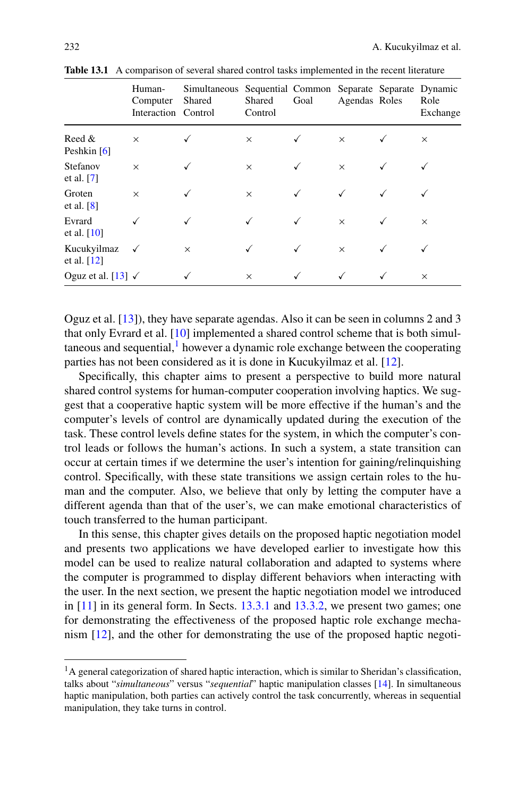|                                 | Human-<br>Computer<br>Interaction Control | Simultaneous<br>Shared | Sequential Common Separate Separate Dynamic<br>Shared<br>Control | Goal | Agendas Roles | Role<br>Exchange |
|---------------------------------|-------------------------------------------|------------------------|------------------------------------------------------------------|------|---------------|------------------|
| Reed &<br>Peshkin $[6]$         | $\times$                                  |                        | $\times$                                                         |      | $\times$      | $\times$         |
| Stefanov<br>et al. $[7]$        | $\times$                                  |                        | $\times$                                                         | ✓    | $\times$      |                  |
| Groten<br>et al. $[8]$          | $\times$                                  |                        | $\times$                                                         |      |               |                  |
| Evrard<br>et al. $[10]$         |                                           |                        | √                                                                |      | $\times$      | $\times$         |
| Kucukyilmaz<br>et al. $[12]$    |                                           | X                      | √                                                                |      | $\times$      |                  |
| Oguz et al. $[13]$ $\checkmark$ |                                           |                        | $\times$                                                         |      |               | $\times$         |

<span id="page-3-0"></span>**Table 13.1** A comparison of several shared control tasks implemented in the recent literature

Oguz et al. [\[13](#page-25-3)]), they have separate agendas. Also it can be seen in columns 2 and 3 that only Evrard et al. [[10\]](#page-25-0) implemented a shared control scheme that is both simultaneous and sequential, $<sup>1</sup>$  $<sup>1</sup>$  $<sup>1</sup>$  however a dynamic role exchange between the cooperating</sup> parties has not been considered as it is done in Kucukyilmaz et al. [[12\]](#page-25-2).

Specifically, this chapter aims to present a perspective to build more natural shared control systems for human-computer cooperation involving haptics. We suggest that a cooperative haptic system will be more effective if the human's and the computer's levels of control are dynamically updated during the execution of the task. These control levels define states for the system, in which the computer's control leads or follows the human's actions. In such a system, a state transition can occur at certain times if we determine the user's intention for gaining/relinquishing control. Specifically, with these state transitions we assign certain roles to the human and the computer. Also, we believe that only by letting the computer have a different agenda than that of the user's, we can make emotional characteristics of touch transferred to the human participant.

<span id="page-3-1"></span>In this sense, this chapter gives details on the proposed haptic negotiation model and presents two applications we have developed earlier to investigate how this model can be used to realize natural collaboration and adapted to systems where the computer is programmed to display different behaviors when interacting with the user. In the next section, we present the haptic negotiation model we introduced in [[11\]](#page-25-1) in its general form. In Sects. [13.3.1](#page-5-0) and [13.3.2,](#page-10-0) we present two games; one for demonstrating the effectiveness of the proposed haptic role exchange mechanism [[12\]](#page-25-2), and the other for demonstrating the use of the proposed haptic negoti-

<sup>&</sup>lt;sup>1</sup>A general categorization of shared haptic interaction, which is similar to Sheridan's classification, talks about "*simultaneous*" versus "*sequential*" haptic manipulation classes [[14\]](#page-25-4). In simultaneous haptic manipulation, both parties can actively control the task concurrently, whereas in sequential manipulation, they take turns in control.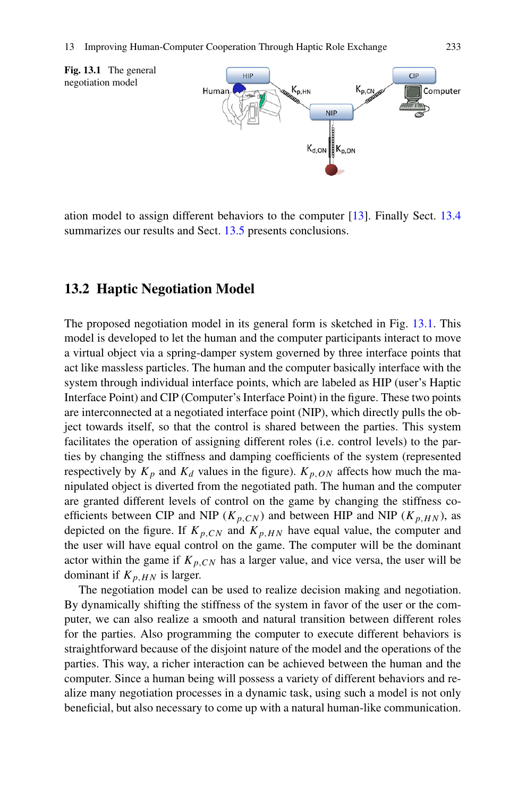<span id="page-4-0"></span>

ation model to assign different behaviors to the computer [\[13](#page-25-3)]. Finally Sect. [13.4](#page-15-0) summarizes our results and Sect. [13.5](#page-23-0) presents conclusions.

# **13.2 Haptic Negotiation Model**

The proposed negotiation model in its general form is sketched in Fig. [13.1](#page-4-0). This model is developed to let the human and the computer participants interact to move a virtual object via a spring-damper system governed by three interface points that act like massless particles. The human and the computer basically interface with the system through individual interface points, which are labeled as HIP (user's Haptic Interface Point) and CIP (Computer's Interface Point) in the figure. These two points are interconnected at a negotiated interface point (NIP), which directly pulls the object towards itself, so that the control is shared between the parties. This system facilitates the operation of assigning different roles (i.e. control levels) to the parties by changing the stiffness and damping coefficients of the system (represented respectively by  $K_p$  and  $K_d$  values in the figure).  $K_{p,ON}$  affects how much the manipulated object is diverted from the negotiated path. The human and the computer are granted different levels of control on the game by changing the stiffness coefficients between CIP and NIP ( $K_{p,CN}$ ) and between HIP and NIP ( $K_{p,HN}$ ), as depicted on the figure. If  $K_{p,CN}$  and  $K_{p,HN}$  have equal value, the computer and the user will have equal control on the game. The computer will be the dominant actor within the game if  $K_{p,CN}$  has a larger value, and vice versa, the user will be dominant if  $K_{p,HN}$  is larger.

The negotiation model can be used to realize decision making and negotiation. By dynamically shifting the stiffness of the system in favor of the user or the computer, we can also realize a smooth and natural transition between different roles for the parties. Also programming the computer to execute different behaviors is straightforward because of the disjoint nature of the model and the operations of the parties. This way, a richer interaction can be achieved between the human and the computer. Since a human being will possess a variety of different behaviors and realize many negotiation processes in a dynamic task, using such a model is not only beneficial, but also necessary to come up with a natural human-like communication.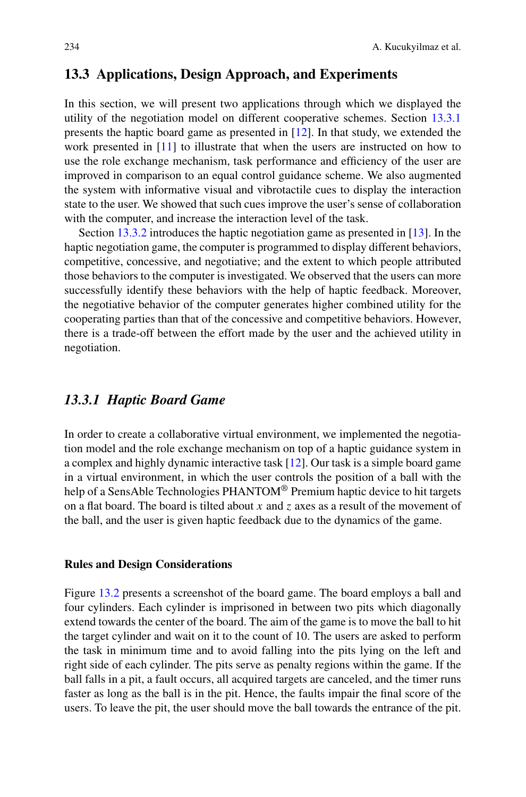## **13.3 Applications, Design Approach, and Experiments**

In this section, we will present two applications through which we displayed the utility of the negotiation model on different cooperative schemes. Section [13.3.1](#page-5-0) presents the haptic board game as presented in [[12\]](#page-25-2). In that study, we extended the work presented in [\[11](#page-25-1)] to illustrate that when the users are instructed on how to use the role exchange mechanism, task performance and efficiency of the user are improved in comparison to an equal control guidance scheme. We also augmented the system with informative visual and vibrotactile cues to display the interaction state to the user. We showed that such cues improve the user's sense of collaboration with the computer, and increase the interaction level of the task.

<span id="page-5-0"></span>Section [13.3.2](#page-10-0) introduces the haptic negotiation game as presented in [[13\]](#page-25-3). In the haptic negotiation game, the computer is programmed to display different behaviors, competitive, concessive, and negotiative; and the extent to which people attributed those behaviors to the computer is investigated. We observed that the users can more successfully identify these behaviors with the help of haptic feedback. Moreover, the negotiative behavior of the computer generates higher combined utility for the cooperating parties than that of the concessive and competitive behaviors. However, there is a trade-off between the effort made by the user and the achieved utility in negotiation.

# *13.3.1 Haptic Board Game*

In order to create a collaborative virtual environment, we implemented the negotiation model and the role exchange mechanism on top of a haptic guidance system in a complex and highly dynamic interactive task [[12\]](#page-25-2). Our task is a simple board game in a virtual environment, in which the user controls the position of a ball with the help of a SensAble Technologies PHANTOM® Premium haptic device to hit targets on a flat board. The board is tilted about *x* and *z* axes as a result of the movement of the ball, and the user is given haptic feedback due to the dynamics of the game.

### **Rules and Design Considerations**

Figure [13.2](#page-6-0) presents a screenshot of the board game. The board employs a ball and four cylinders. Each cylinder is imprisoned in between two pits which diagonally extend towards the center of the board. The aim of the game is to move the ball to hit the target cylinder and wait on it to the count of 10. The users are asked to perform the task in minimum time and to avoid falling into the pits lying on the left and right side of each cylinder. The pits serve as penalty regions within the game. If the ball falls in a pit, a fault occurs, all acquired targets are canceled, and the timer runs faster as long as the ball is in the pit. Hence, the faults impair the final score of the users. To leave the pit, the user should move the ball towards the entrance of the pit.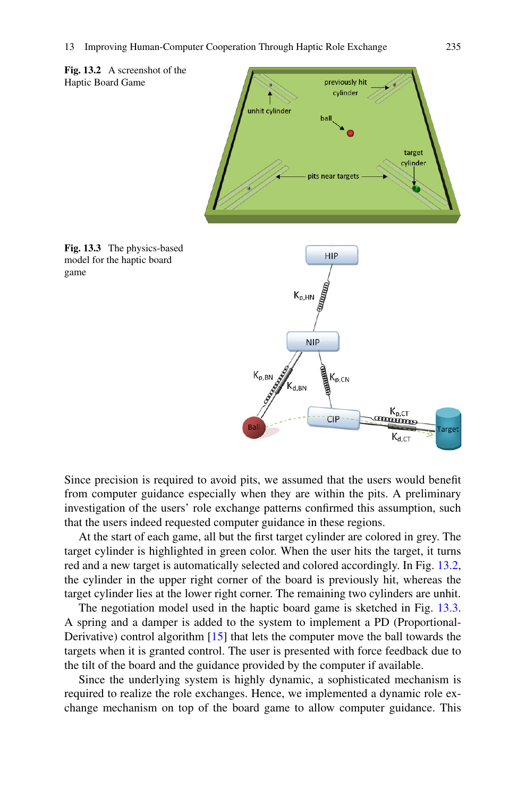<span id="page-6-1"></span><span id="page-6-0"></span>

Since precision is required to avoid pits, we assumed that the users would benefit from computer guidance especially when they are within the pits. A preliminary investigation of the users' role exchange patterns confirmed this assumption, such that the users indeed requested computer guidance in these regions.

At the start of each game, all but the first target cylinder are colored in grey. The target cylinder is highlighted in green color. When the user hits the target, it turns red and a new target is automatically selected and colored accordingly. In Fig. [13.2,](#page-6-0) the cylinder in the upper right corner of the board is previously hit, whereas the target cylinder lies at the lower right corner. The remaining two cylinders are unhit.

The negotiation model used in the haptic board game is sketched in Fig. [13.3.](#page-6-1) A spring and a damper is added to the system to implement a PD (Proportional-Derivative) control algorithm [[15\]](#page-25-5) that lets the computer move the ball towards the targets when it is granted control. The user is presented with force feedback due to the tilt of the board and the guidance provided by the computer if available.

Since the underlying system is highly dynamic, a sophisticated mechanism is required to realize the role exchanges. Hence, we implemented a dynamic role exchange mechanism on top of the board game to allow computer guidance. This

 $K_{p,CT}$ mmmm

 $K_{d,CT}$ 

arge

CiP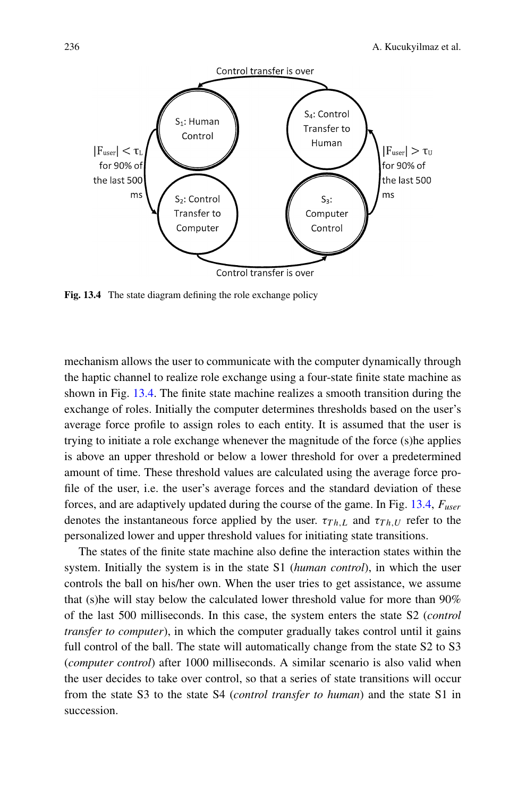

<span id="page-7-0"></span>Fig. 13.4 The state diagram defining the role exchange policy

mechanism allows the user to communicate with the computer dynamically through the haptic channel to realize role exchange using a four-state finite state machine as shown in Fig. [13.4](#page-7-0). The finite state machine realizes a smooth transition during the exchange of roles. Initially the computer determines thresholds based on the user's average force profile to assign roles to each entity. It is assumed that the user is trying to initiate a role exchange whenever the magnitude of the force (s)he applies is above an upper threshold or below a lower threshold for over a predetermined amount of time. These threshold values are calculated using the average force profile of the user, i.e. the user's average forces and the standard deviation of these forces, and are adaptively updated during the course of the game. In Fig. [13.4,](#page-7-0) *Fuser* denotes the instantaneous force applied by the user.  $\tau_{Th,L}$  and  $\tau_{Th,L}$  refer to the personalized lower and upper threshold values for initiating state transitions.

The states of the finite state machine also define the interaction states within the system. Initially the system is in the state S1 (*human control*), in which the user controls the ball on his/her own. When the user tries to get assistance, we assume that (s)he will stay below the calculated lower threshold value for more than 90% of the last 500 milliseconds. In this case, the system enters the state S2 (*control transfer to computer*), in which the computer gradually takes control until it gains full control of the ball. The state will automatically change from the state S2 to S3 (*computer control*) after 1000 milliseconds. A similar scenario is also valid when the user decides to take over control, so that a series of state transitions will occur from the state S3 to the state S4 (*control transfer to human*) and the state S1 in succession.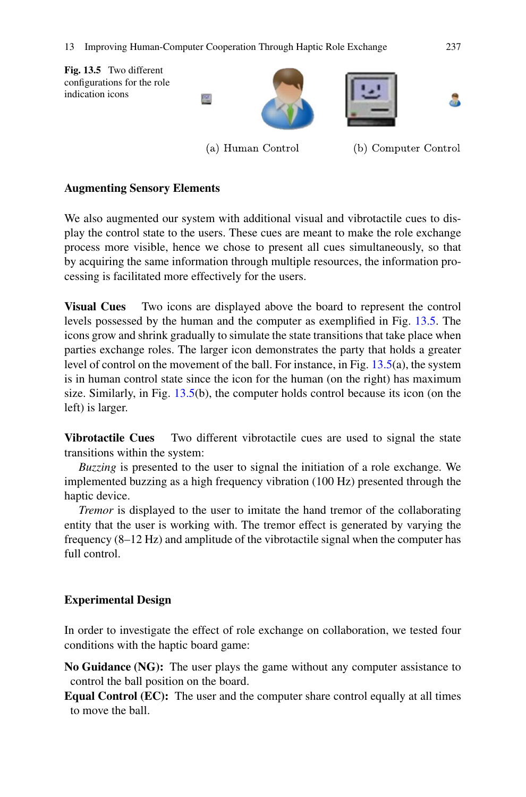<span id="page-8-0"></span>

### **Augmenting Sensory Elements**

We also augmented our system with additional visual and vibrotactile cues to display the control state to the users. These cues are meant to make the role exchange process more visible, hence we chose to present all cues simultaneously, so that by acquiring the same information through multiple resources, the information processing is facilitated more effectively for the users.

**Visual Cues** Two icons are displayed above the board to represent the control levels possessed by the human and the computer as exemplified in Fig. [13.5](#page-8-0). The icons grow and shrink gradually to simulate the state transitions that take place when parties exchange roles. The larger icon demonstrates the party that holds a greater level of control on the movement of the ball. For instance, in Fig. [13.5\(](#page-8-0)a), the system is in human control state since the icon for the human (on the right) has maximum size. Similarly, in Fig. [13.5\(](#page-8-0)b), the computer holds control because its icon (on the left) is larger.

**Vibrotactile Cues** Two different vibrotactile cues are used to signal the state transitions within the system:

*Buzzing* is presented to the user to signal the initiation of a role exchange. We implemented buzzing as a high frequency vibration (100 Hz) presented through the haptic device.

*Tremor* is displayed to the user to imitate the hand tremor of the collaborating entity that the user is working with. The tremor effect is generated by varying the frequency (8–12 Hz) and amplitude of the vibrotactile signal when the computer has full control.

### **Experimental Design**

In order to investigate the effect of role exchange on collaboration, we tested four conditions with the haptic board game:

- **No Guidance (NG):** The user plays the game without any computer assistance to control the ball position on the board.
- **Equal Control (EC):** The user and the computer share control equally at all times to move the ball.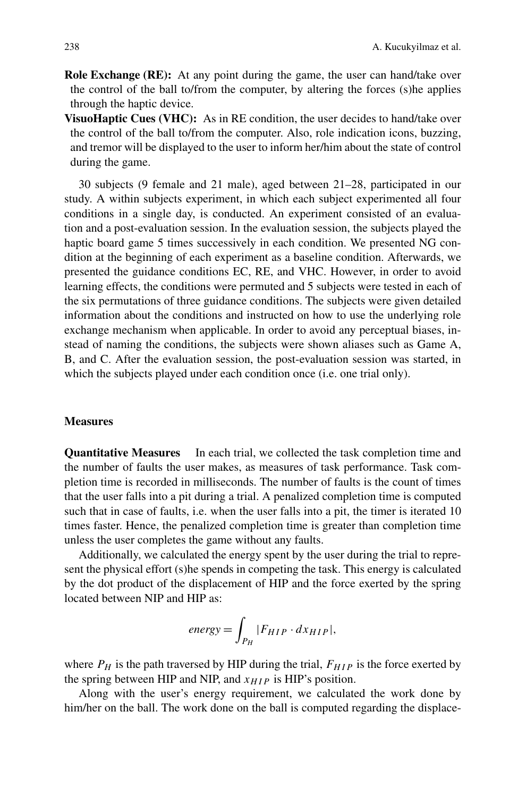- **Role Exchange (RE):** At any point during the game, the user can hand/take over the control of the ball to/from the computer, by altering the forces (s)he applies through the haptic device.
- **VisuoHaptic Cues (VHC):** As in RE condition, the user decides to hand/take over the control of the ball to/from the computer. Also, role indication icons, buzzing, and tremor will be displayed to the user to inform her/him about the state of control during the game.

30 subjects (9 female and 21 male), aged between 21–28, participated in our study. A within subjects experiment, in which each subject experimented all four conditions in a single day, is conducted. An experiment consisted of an evaluation and a post-evaluation session. In the evaluation session, the subjects played the haptic board game 5 times successively in each condition. We presented NG condition at the beginning of each experiment as a baseline condition. Afterwards, we presented the guidance conditions EC, RE, and VHC. However, in order to avoid learning effects, the conditions were permuted and 5 subjects were tested in each of the six permutations of three guidance conditions. The subjects were given detailed information about the conditions and instructed on how to use the underlying role exchange mechanism when applicable. In order to avoid any perceptual biases, instead of naming the conditions, the subjects were shown aliases such as Game A, B, and C. After the evaluation session, the post-evaluation session was started, in which the subjects played under each condition once (i.e. one trial only).

#### <span id="page-9-0"></span>**Measures**

**Quantitative Measures** In each trial, we collected the task completion time and the number of faults the user makes, as measures of task performance. Task completion time is recorded in milliseconds. The number of faults is the count of times that the user falls into a pit during a trial. A penalized completion time is computed such that in case of faults, i.e. when the user falls into a pit, the timer is iterated 10 times faster. Hence, the penalized completion time is greater than completion time unless the user completes the game without any faults.

Additionally, we calculated the energy spent by the user during the trial to represent the physical effort (s)he spends in competing the task. This energy is calculated by the dot product of the displacement of HIP and the force exerted by the spring located between NIP and HIP as:

$$
energy = \int_{P_H} |F_{HIP} \cdot dx_{HIP}|,
$$

where  $P_H$  is the path traversed by HIP during the trial,  $F_{HIP}$  is the force exerted by the spring between HIP and NIP, and  $x_{HIP}$  is HIP's position.

Along with the user's energy requirement, we calculated the work done by him/her on the ball. The work done on the ball is computed regarding the displace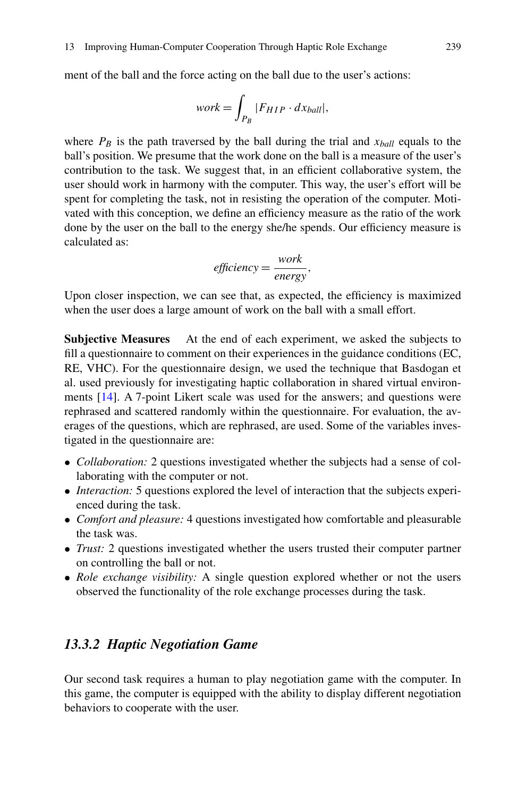ment of the ball and the force acting on the ball due to the user's actions:

$$
work = \int_{P_B} |F_{HIP} \cdot dx_{ball}|,
$$

where  $P_B$  is the path traversed by the ball during the trial and  $x_{ball}$  equals to the ball's position. We presume that the work done on the ball is a measure of the user's contribution to the task. We suggest that, in an efficient collaborative system, the user should work in harmony with the computer. This way, the user's effort will be spent for completing the task, not in resisting the operation of the computer. Motivated with this conception, we define an efficiency measure as the ratio of the work done by the user on the ball to the energy she/he spends. Our efficiency measure is calculated as:

$$
efficiency = \frac{work}{energy},
$$

Upon closer inspection, we can see that, as expected, the efficiency is maximized when the user does a large amount of work on the ball with a small effort.

**Subjective Measures** At the end of each experiment, we asked the subjects to fill a questionnaire to comment on their experiences in the guidance conditions (EC, RE, VHC). For the questionnaire design, we used the technique that Basdogan et al. used previously for investigating haptic collaboration in shared virtual environments [\[14](#page-25-4)]. A 7-point Likert scale was used for the answers; and questions were rephrased and scattered randomly within the questionnaire. For evaluation, the averages of the questions, which are rephrased, are used. Some of the variables investigated in the questionnaire are:

- *Collaboration:* 2 questions investigated whether the subjects had a sense of collaborating with the computer or not.
- *Interaction:* 5 questions explored the level of interaction that the subjects experienced during the task.
- *Comfort and pleasure:* 4 questions investigated how comfortable and pleasurable the task was.
- <span id="page-10-0"></span>• *Trust:* 2 questions investigated whether the users trusted their computer partner on controlling the ball or not.
- *Role exchange visibility:* A single question explored whether or not the users observed the functionality of the role exchange processes during the task.

### *13.3.2 Haptic Negotiation Game*

Our second task requires a human to play negotiation game with the computer. In this game, the computer is equipped with the ability to display different negotiation behaviors to cooperate with the user.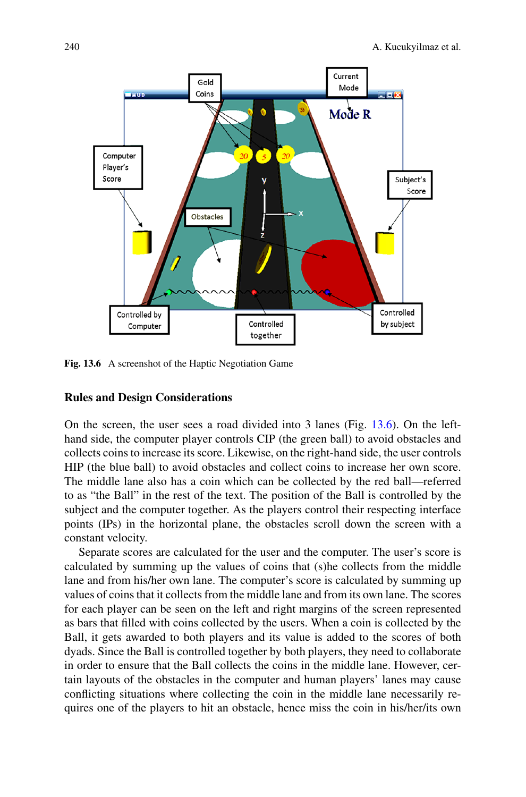

<span id="page-11-0"></span>Fig. 13.6 A screenshot of the Haptic Negotiation Game

### **Rules and Design Considerations**

On the screen, the user sees a road divided into 3 lanes (Fig. [13.6\)](#page-11-0). On the lefthand side, the computer player controls CIP (the green ball) to avoid obstacles and collects coins to increase its score. Likewise, on the right-hand side, the user controls HIP (the blue ball) to avoid obstacles and collect coins to increase her own score. The middle lane also has a coin which can be collected by the red ball—referred to as "the Ball" in the rest of the text. The position of the Ball is controlled by the subject and the computer together. As the players control their respecting interface points (IPs) in the horizontal plane, the obstacles scroll down the screen with a constant velocity.

Separate scores are calculated for the user and the computer. The user's score is calculated by summing up the values of coins that (s)he collects from the middle lane and from his/her own lane. The computer's score is calculated by summing up values of coins that it collects from the middle lane and from its own lane. The scores for each player can be seen on the left and right margins of the screen represented as bars that filled with coins collected by the users. When a coin is collected by the Ball, it gets awarded to both players and its value is added to the scores of both dyads. Since the Ball is controlled together by both players, they need to collaborate in order to ensure that the Ball collects the coins in the middle lane. However, certain layouts of the obstacles in the computer and human players' lanes may cause conflicting situations where collecting the coin in the middle lane necessarily requires one of the players to hit an obstacle, hence miss the coin in his/her/its own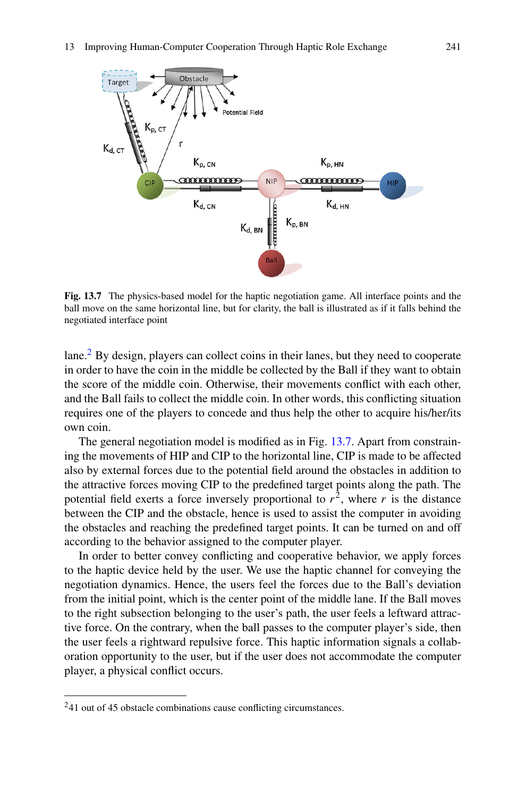

<span id="page-12-1"></span>**Fig. 13.7** The physics-based model for the haptic negotiation game. All interface points and the ball move on the same horizontal line, but for clarity, the ball is illustrated as if it falls behind the negotiated interface point

lane.<sup>[2](#page-12-0)</sup> By design, players can collect coins in their lanes, but they need to cooperate in order to have the coin in the middle be collected by the Ball if they want to obtain the score of the middle coin. Otherwise, their movements conflict with each other, and the Ball fails to collect the middle coin. In other words, this conflicting situation requires one of the players to concede and thus help the other to acquire his/her/its own coin.

The general negotiation model is modified as in Fig. [13.7.](#page-12-1) Apart from constraining the movements of HIP and CIP to the horizontal line, CIP is made to be affected also by external forces due to the potential field around the obstacles in addition to the attractive forces moving CIP to the predefined target points along the path. The potential field exerts a force inversely proportional to  $r^2$ , where r is the distance between the CIP and the obstacle, hence is used to assist the computer in avoiding the obstacles and reaching the predefined target points. It can be turned on and off according to the behavior assigned to the computer player.

<span id="page-12-0"></span>In order to better convey conflicting and cooperative behavior, we apply forces to the haptic device held by the user. We use the haptic channel for conveying the negotiation dynamics. Hence, the users feel the forces due to the Ball's deviation from the initial point, which is the center point of the middle lane. If the Ball moves to the right subsection belonging to the user's path, the user feels a leftward attractive force. On the contrary, when the ball passes to the computer player's side, then the user feels a rightward repulsive force. This haptic information signals a collaboration opportunity to the user, but if the user does not accommodate the computer player, a physical conflict occurs.

<sup>&</sup>lt;sup>2</sup>41 out of 45 obstacle combinations cause conflicting circumstances.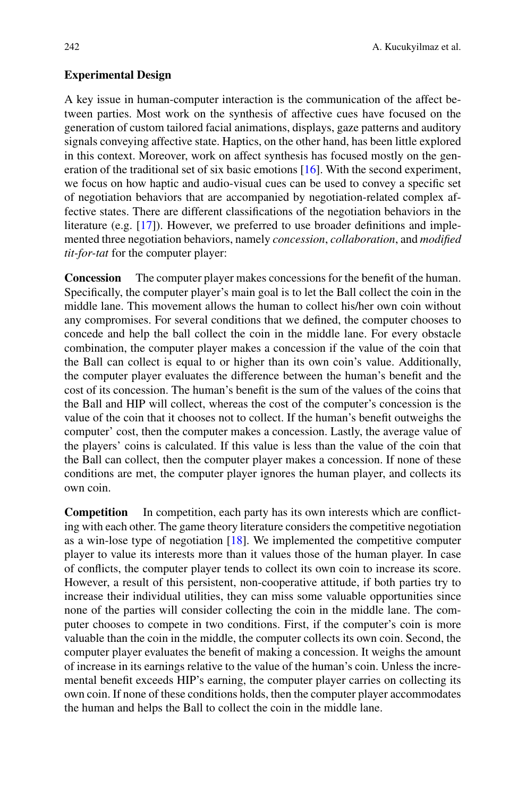### **Experimental Design**

A key issue in human-computer interaction is the communication of the affect between parties. Most work on the synthesis of affective cues have focused on the generation of custom tailored facial animations, displays, gaze patterns and auditory signals conveying affective state. Haptics, on the other hand, has been little explored in this context. Moreover, work on affect synthesis has focused mostly on the generation of the traditional set of six basic emotions  $[16]$  $[16]$ . With the second experiment, we focus on how haptic and audio-visual cues can be used to convey a specific set of negotiation behaviors that are accompanied by negotiation-related complex affective states. There are different classifications of the negotiation behaviors in the literature (e.g. [\[17](#page-25-7)]). However, we preferred to use broader definitions and implemented three negotiation behaviors, namely *concession*, *collaboration*, and *modified tit-for-tat* for the computer player:

**Concession** The computer player makes concessions for the benefit of the human. Specifically, the computer player's main goal is to let the Ball collect the coin in the middle lane. This movement allows the human to collect his/her own coin without any compromises. For several conditions that we defined, the computer chooses to concede and help the ball collect the coin in the middle lane. For every obstacle combination, the computer player makes a concession if the value of the coin that the Ball can collect is equal to or higher than its own coin's value. Additionally, the computer player evaluates the difference between the human's benefit and the cost of its concession. The human's benefit is the sum of the values of the coins that the Ball and HIP will collect, whereas the cost of the computer's concession is the value of the coin that it chooses not to collect. If the human's benefit outweighs the computer' cost, then the computer makes a concession. Lastly, the average value of the players' coins is calculated. If this value is less than the value of the coin that the Ball can collect, then the computer player makes a concession. If none of these conditions are met, the computer player ignores the human player, and collects its own coin.

**Competition** In competition, each party has its own interests which are conflicting with each other. The game theory literature considers the competitive negotiation as a win-lose type of negotiation  $[18]$  $[18]$ . We implemented the competitive computer player to value its interests more than it values those of the human player. In case of conflicts, the computer player tends to collect its own coin to increase its score. However, a result of this persistent, non-cooperative attitude, if both parties try to increase their individual utilities, they can miss some valuable opportunities since none of the parties will consider collecting the coin in the middle lane. The computer chooses to compete in two conditions. First, if the computer's coin is more valuable than the coin in the middle, the computer collects its own coin. Second, the computer player evaluates the benefit of making a concession. It weighs the amount of increase in its earnings relative to the value of the human's coin. Unless the incremental benefit exceeds HIP's earning, the computer player carries on collecting its own coin. If none of these conditions holds, then the computer player accommodates the human and helps the Ball to collect the coin in the middle lane.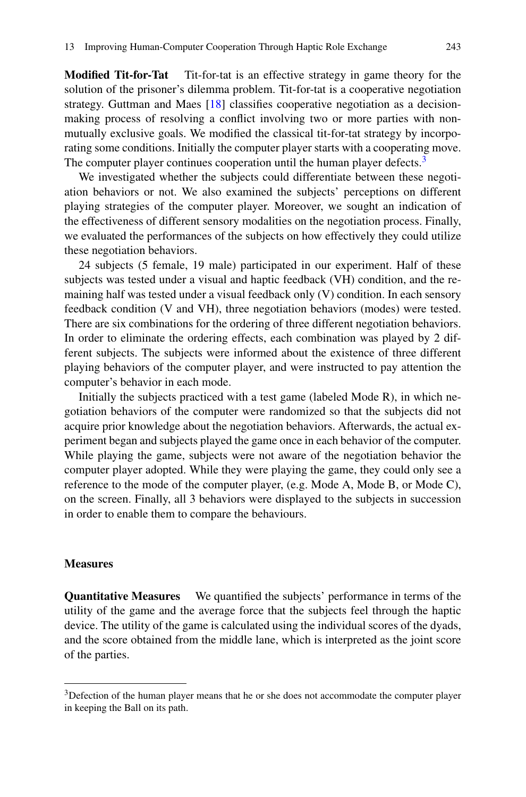**Modified Tit-for-Tat** Tit-for-tat is an effective strategy in game theory for the solution of the prisoner's dilemma problem. Tit-for-tat is a cooperative negotiation strategy. Guttman and Maes [\[18](#page-25-8)] classifies cooperative negotiation as a decisionmaking process of resolving a conflict involving two or more parties with nonmutually exclusive goals. We modified the classical tit-for-tat strategy by incorporating some conditions. Initially the computer player starts with a cooperating move. The computer player continues cooperation until the human player defects.<sup>[3](#page-14-0)</sup>

We investigated whether the subjects could differentiate between these negotiation behaviors or not. We also examined the subjects' perceptions on different playing strategies of the computer player. Moreover, we sought an indication of the effectiveness of different sensory modalities on the negotiation process. Finally, we evaluated the performances of the subjects on how effectively they could utilize these negotiation behaviors.

24 subjects (5 female, 19 male) participated in our experiment. Half of these subjects was tested under a visual and haptic feedback (VH) condition, and the remaining half was tested under a visual feedback only (V) condition. In each sensory feedback condition (V and VH), three negotiation behaviors (modes) were tested. There are six combinations for the ordering of three different negotiation behaviors. In order to eliminate the ordering effects, each combination was played by 2 different subjects. The subjects were informed about the existence of three different playing behaviors of the computer player, and were instructed to pay attention the computer's behavior in each mode.

Initially the subjects practiced with a test game (labeled Mode R), in which negotiation behaviors of the computer were randomized so that the subjects did not acquire prior knowledge about the negotiation behaviors. Afterwards, the actual experiment began and subjects played the game once in each behavior of the computer. While playing the game, subjects were not aware of the negotiation behavior the computer player adopted. While they were playing the game, they could only see a reference to the mode of the computer player, (e.g. Mode A, Mode B, or Mode C), on the screen. Finally, all 3 behaviors were displayed to the subjects in succession in order to enable them to compare the behaviours.

#### **Measures**

<span id="page-14-0"></span>**Quantitative Measures** We quantified the subjects' performance in terms of the utility of the game and the average force that the subjects feel through the haptic device. The utility of the game is calculated using the individual scores of the dyads, and the score obtained from the middle lane, which is interpreted as the joint score of the parties.

<sup>&</sup>lt;sup>3</sup>Defection of the human player means that he or she does not accommodate the computer player in keeping the Ball on its path.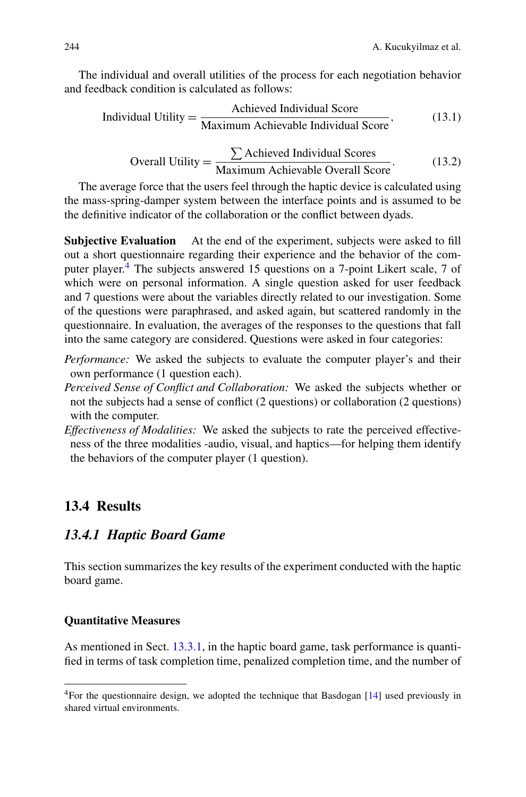The individual and overall utilities of the process for each negotiation behavior and feedback condition is calculated as follows:

Individual Utility = 
$$
\frac{\text{Achieved Individual Score}}{\text{Maximum Achievable Individual Score}}
$$
, (13.1)

<span id="page-15-3"></span><span id="page-15-2"></span>Overall Utility = 
$$
\frac{\sum \text{Achieved Individual scores}}{\text{Maximum Achievable Overall Score}}.
$$
 (13.2)

The average force that the users feel through the haptic device is calculated using the mass-spring-damper system between the interface points and is assumed to be the definitive indicator of the collaboration or the conflict between dyads.

**Subjective Evaluation** At the end of the experiment, subjects were asked to fill out a short questionnaire regarding their experience and the behavior of the computer player.[4](#page-15-1) The subjects answered 15 questions on a 7-point Likert scale, 7 of which were on personal information. A single question asked for user feedback and 7 questions were about the variables directly related to our investigation. Some of the questions were paraphrased, and asked again, but scattered randomly in the questionnaire. In evaluation, the averages of the responses to the questions that fall into the same category are considered. Questions were asked in four categories:

*Performance:* We asked the subjects to evaluate the computer player's and their own performance (1 question each).

- *Perceived Sense of Conflict and Collaboration:* We asked the subjects whether or not the subjects had a sense of conflict (2 questions) or collaboration (2 questions) with the computer.
- <span id="page-15-0"></span>*Effectiveness of Modalities:* We asked the subjects to rate the perceived effectiveness of the three modalities -audio, visual, and haptics—for helping them identify the behaviors of the computer player (1 question).

# **13.4 Results**

### *13.4.1 Haptic Board Game*

<span id="page-15-1"></span>This section summarizes the key results of the experiment conducted with the haptic board game.

#### **Quantitative Measures**

As mentioned in Sect. [13.3.1,](#page-9-0) in the haptic board game, task performance is quantified in terms of task completion time, penalized completion time, and the number of

<sup>&</sup>lt;sup>4</sup>For the questionnaire design, we adopted the technique that Basdogan [[14](#page-25-4)] used previously in shared virtual environments.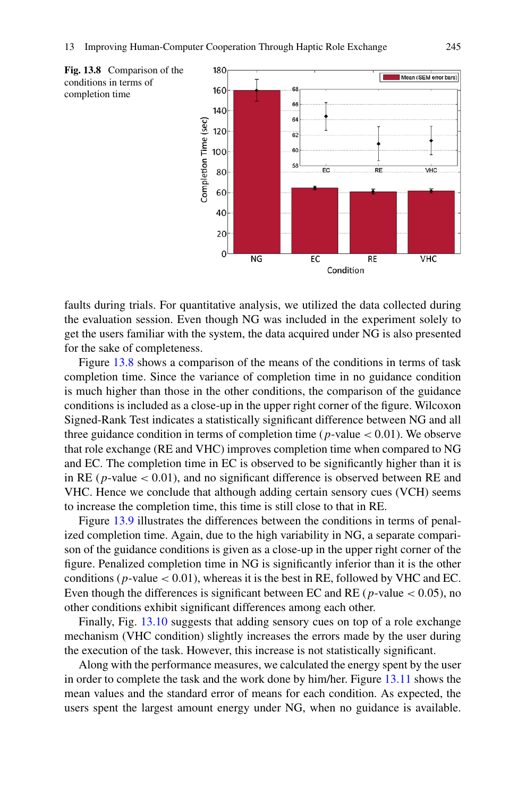<span id="page-16-0"></span>

faults during trials. For quantitative analysis, we utilized the data collected during the evaluation session. Even though NG was included in the experiment solely to get the users familiar with the system, the data acquired under NG is also presented for the sake of completeness.

Figure [13.8](#page-16-0) shows a comparison of the means of the conditions in terms of task completion time. Since the variance of completion time in no guidance condition is much higher than those in the other conditions, the comparison of the guidance conditions is included as a close-up in the upper right corner of the figure. Wilcoxon Signed-Rank Test indicates a statistically significant difference between NG and all three guidance condition in terms of completion time (*p*-value *<* 0*.*01). We observe that role exchange (RE and VHC) improves completion time when compared to NG and EC. The completion time in EC is observed to be significantly higher than it is in RE (*p*-value *<* 0*.*01), and no significant difference is observed between RE and VHC. Hence we conclude that although adding certain sensory cues (VCH) seems to increase the completion time, this time is still close to that in RE.

Figure [13.9](#page-17-0) illustrates the differences between the conditions in terms of penalized completion time. Again, due to the high variability in NG, a separate comparison of the guidance conditions is given as a close-up in the upper right corner of the figure. Penalized completion time in NG is significantly inferior than it is the other conditions ( $p$ -value  $< 0.01$ ), whereas it is the best in RE, followed by VHC and EC. Even though the differences is significant between EC and RE (*p*-value *<* 0*.*05), no other conditions exhibit significant differences among each other.

Finally, Fig. [13.10](#page-17-1) suggests that adding sensory cues on top of a role exchange mechanism (VHC condition) slightly increases the errors made by the user during the execution of the task. However, this increase is not statistically significant.

Along with the performance measures, we calculated the energy spent by the user in order to complete the task and the work done by him/her. Figure [13.11](#page-18-0) shows the mean values and the standard error of means for each condition. As expected, the users spent the largest amount energy under NG, when no guidance is available.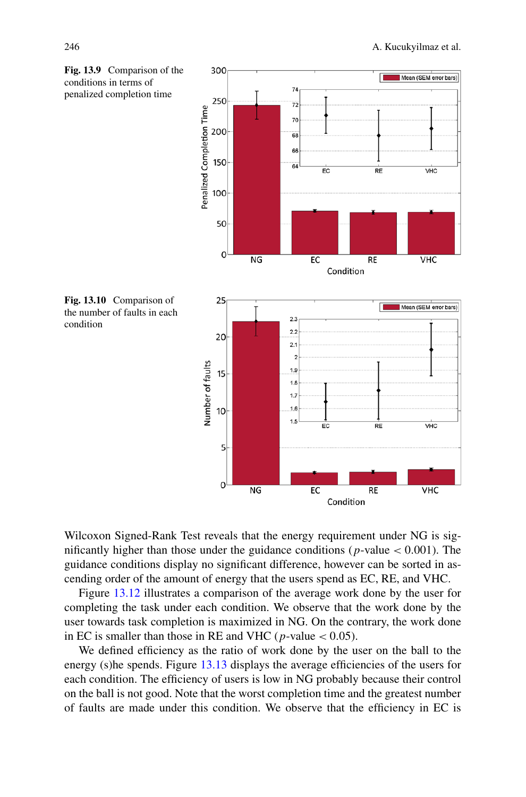

<span id="page-17-0"></span>

<span id="page-17-1"></span>**Fig. 13.10** Comparison of the number of faults in each condition

Wilcoxon Signed-Rank Test reveals that the energy requirement under NG is significantly higher than those under the guidance conditions (*p*-value *<* 0*.*001). The guidance conditions display no significant difference, however can be sorted in ascending order of the amount of energy that the users spend as EC, RE, and VHC.

Figure [13.12](#page-18-1) illustrates a comparison of the average work done by the user for completing the task under each condition. We observe that the work done by the user towards task completion is maximized in NG. On the contrary, the work done in EC is smaller than those in RE and VHC ( $p$ -value  $< 0.05$ ).

We defined efficiency as the ratio of work done by the user on the ball to the energy (s)he spends. Figure [13.13](#page-19-0) displays the average efficiencies of the users for each condition. The efficiency of users is low in NG probably because their control on the ball is not good. Note that the worst completion time and the greatest number of faults are made under this condition. We observe that the efficiency in EC is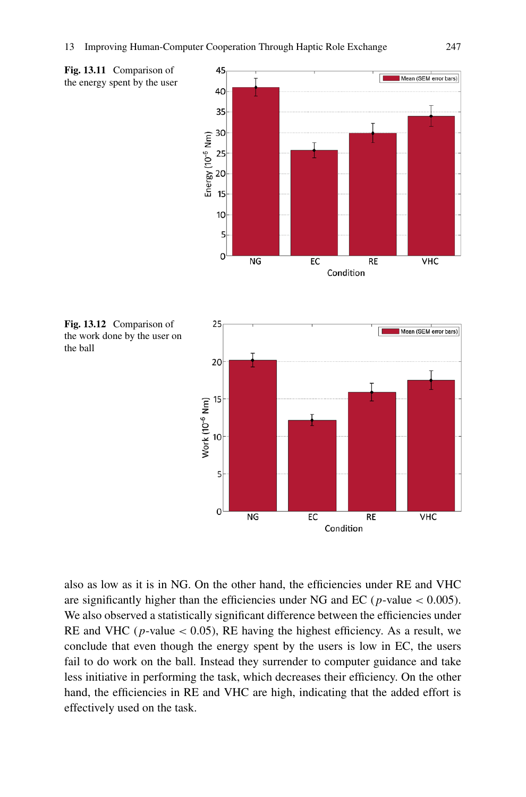45



<span id="page-18-0"></span>**Fig. 13.11** Comparison of the energy spent by the user

<span id="page-18-1"></span>the ball

also as low as it is in NG. On the other hand, the efficiencies under RE and VHC are significantly higher than the efficiencies under NG and EC (*p*-value *<* 0*.*005). We also observed a statistically significant difference between the efficiencies under RE and VHC ( $p$ -value  $<$  0.05), RE having the highest efficiency. As a result, we conclude that even though the energy spent by the users is low in EC, the users fail to do work on the ball. Instead they surrender to computer guidance and take less initiative in performing the task, which decreases their efficiency. On the other hand, the efficiencies in RE and VHC are high, indicating that the added effort is effectively used on the task.

Mean (SEM error bars)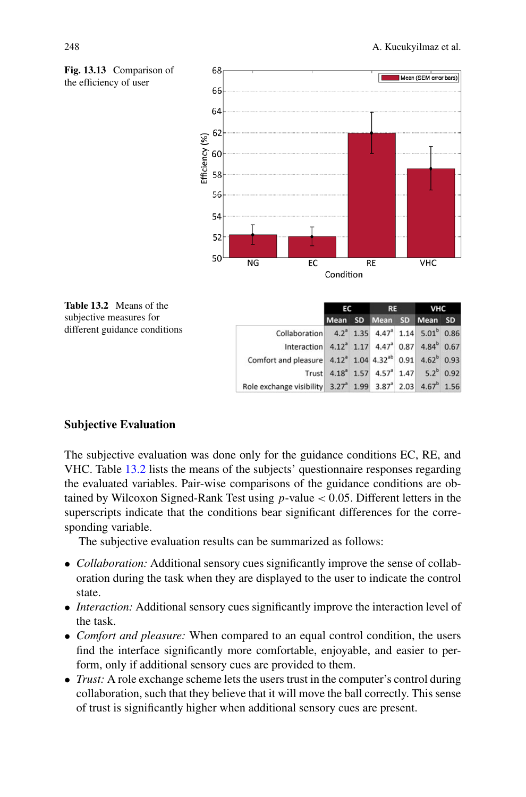

<span id="page-19-0"></span>

<span id="page-19-1"></span>

|                                                                                               | EC. | <b>RE</b> |  | <b>VHC</b>                                                                |  |
|-----------------------------------------------------------------------------------------------|-----|-----------|--|---------------------------------------------------------------------------|--|
|                                                                                               |     |           |  | Mean SD Mean SD Mean SD                                                   |  |
| Collaboration 4.2 <sup>ª</sup> 1.35 4.47 <sup>ª</sup> 1.14 5.01 <sup>b</sup> 0.86             |     |           |  |                                                                           |  |
| Interaction 4.12 <sup>ª</sup> 1.17 4.47 <sup>ª</sup> 0.87 4.84 <sup>b</sup> 0.67              |     |           |  |                                                                           |  |
| Comfort and pleasure 4.12 <sup>ª</sup> 1.04 4.32 <sup>ªb</sup> 0.91 4.62 <sup>b</sup> 0.93    |     |           |  |                                                                           |  |
|                                                                                               |     |           |  | Trust 4.18 <sup>ª</sup> 1.57 4.57 <sup>ª</sup> 1.47 5.2 <sup>b</sup> 0.92 |  |
| Role exchange visibility 3.27 <sup>ª</sup> 1.99 3.87 <sup>ª</sup> 2.03 4.67 <sup>b</sup> 1.56 |     |           |  |                                                                           |  |

### **Subjective Evaluation**

The subjective evaluation was done only for the guidance conditions EC, RE, and VHC. Table [13.2](#page-19-1) lists the means of the subjects' questionnaire responses regarding the evaluated variables. Pair-wise comparisons of the guidance conditions are obtained by Wilcoxon Signed-Rank Test using *p*-value *<* 0*.*05. Different letters in the superscripts indicate that the conditions bear significant differences for the corresponding variable.

The subjective evaluation results can be summarized as follows:

- *Collaboration:* Additional sensory cues significantly improve the sense of collaboration during the task when they are displayed to the user to indicate the control state.
- *Interaction:* Additional sensory cues significantly improve the interaction level of the task.
- *Comfort and pleasure:* When compared to an equal control condition, the users find the interface significantly more comfortable, enjoyable, and easier to perform, only if additional sensory cues are provided to them.
- *Trust:* A role exchange scheme lets the users trust in the computer's control during collaboration, such that they believe that it will move the ball correctly. This sense of trust is significantly higher when additional sensory cues are present.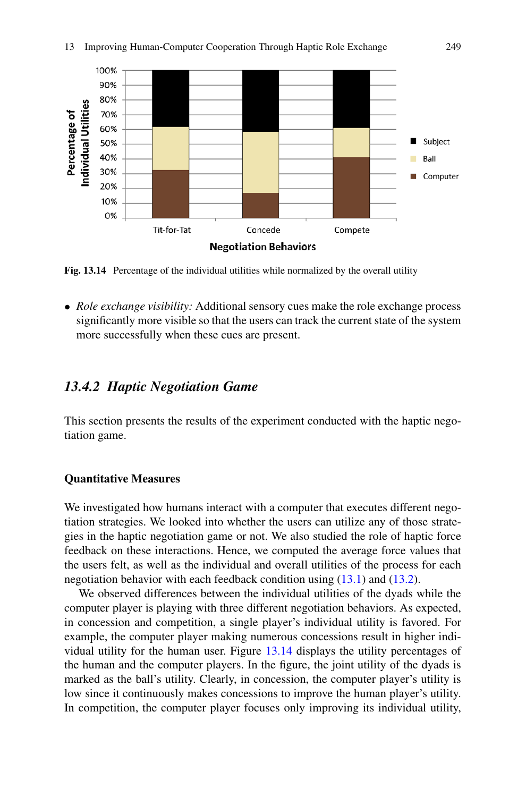<span id="page-20-0"></span>

**Fig. 13.14** Percentage of the individual utilities while normalized by the overall utility

• *Role exchange visibility:* Additional sensory cues make the role exchange process significantly more visible so that the users can track the current state of the system more successfully when these cues are present.

## *13.4.2 Haptic Negotiation Game*

This section presents the results of the experiment conducted with the haptic negotiation game.

#### **Quantitative Measures**

We investigated how humans interact with a computer that executes different negotiation strategies. We looked into whether the users can utilize any of those strategies in the haptic negotiation game or not. We also studied the role of haptic force feedback on these interactions. Hence, we computed the average force values that the users felt, as well as the individual and overall utilities of the process for each negotiation behavior with each feedback condition using [\(13.1](#page-15-2)) and [\(13.2\)](#page-15-3).

We observed differences between the individual utilities of the dyads while the computer player is playing with three different negotiation behaviors. As expected, in concession and competition, a single player's individual utility is favored. For example, the computer player making numerous concessions result in higher individual utility for the human user. Figure [13.14](#page-20-0) displays the utility percentages of the human and the computer players. In the figure, the joint utility of the dyads is marked as the ball's utility. Clearly, in concession, the computer player's utility is low since it continuously makes concessions to improve the human player's utility. In competition, the computer player focuses only improving its individual utility,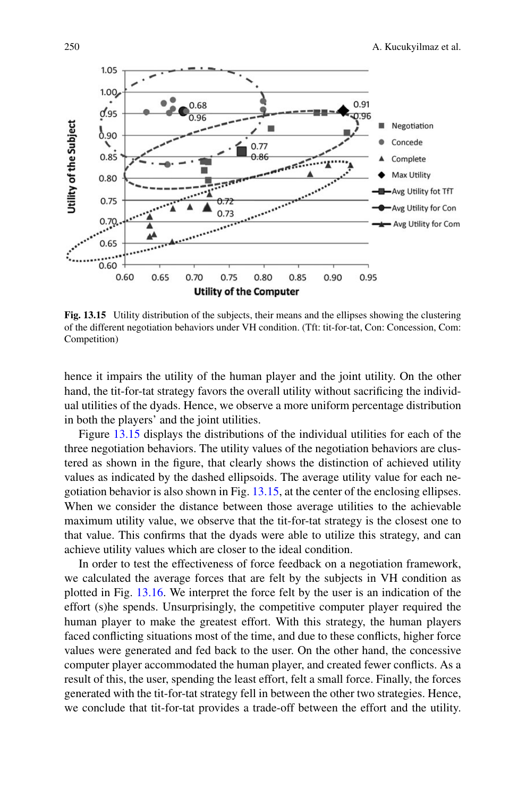

<span id="page-21-0"></span>**Fig. 13.15** Utility distribution of the subjects, their means and the ellipses showing the clustering of the different negotiation behaviors under VH condition. (Tft: tit-for-tat, Con: Concession, Com: Competition)

hence it impairs the utility of the human player and the joint utility. On the other hand, the tit-for-tat strategy favors the overall utility without sacrificing the individual utilities of the dyads. Hence, we observe a more uniform percentage distribution in both the players' and the joint utilities.

Figure [13.15](#page-21-0) displays the distributions of the individual utilities for each of the three negotiation behaviors. The utility values of the negotiation behaviors are clustered as shown in the figure, that clearly shows the distinction of achieved utility values as indicated by the dashed ellipsoids. The average utility value for each negotiation behavior is also shown in Fig. [13.15](#page-21-0), at the center of the enclosing ellipses. When we consider the distance between those average utilities to the achievable maximum utility value, we observe that the tit-for-tat strategy is the closest one to that value. This confirms that the dyads were able to utilize this strategy, and can achieve utility values which are closer to the ideal condition.

In order to test the effectiveness of force feedback on a negotiation framework, we calculated the average forces that are felt by the subjects in VH condition as plotted in Fig. [13.16](#page-22-0). We interpret the force felt by the user is an indication of the effort (s)he spends. Unsurprisingly, the competitive computer player required the human player to make the greatest effort. With this strategy, the human players faced conflicting situations most of the time, and due to these conflicts, higher force values were generated and fed back to the user. On the other hand, the concessive computer player accommodated the human player, and created fewer conflicts. As a result of this, the user, spending the least effort, felt a small force. Finally, the forces generated with the tit-for-tat strategy fell in between the other two strategies. Hence, we conclude that tit-for-tat provides a trade-off between the effort and the utility.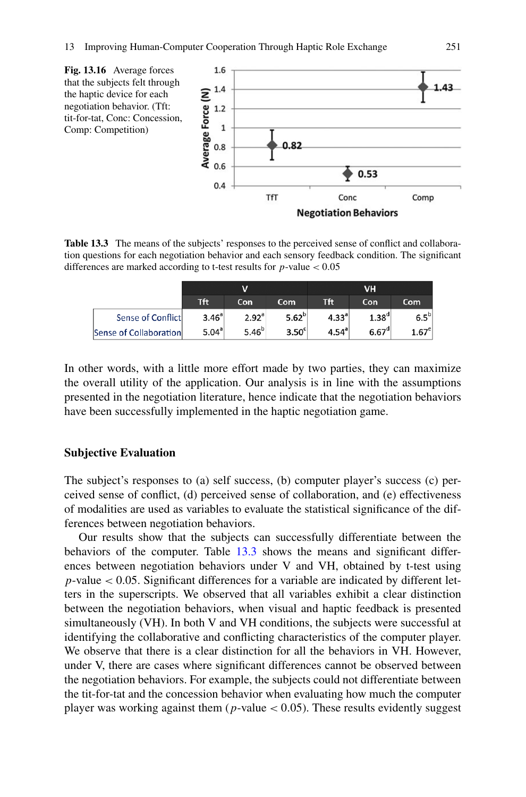<span id="page-22-0"></span>

<span id="page-22-1"></span>**Table 13.3** The means of the subjects' responses to the perceived sense of conflict and collaboration questions for each negotiation behavior and each sensory feedback condition. The significant differences are marked according to t-test results for *p*-value *<* 0*.*05

|                        |                   |                   |                | <b>VH</b>         |                     |               |  |
|------------------------|-------------------|-------------------|----------------|-------------------|---------------------|---------------|--|
|                        | <b>Tft</b>        | Con               | Com            | Tft               | Con                 | Com           |  |
| Sense of Conflict      | $3.46^{a}$        | 2.92 <sup>a</sup> | $5.62^{\circ}$ | 4.33 <sup>a</sup> | $1.38^\circ$        | $6.5^{\circ}$ |  |
| Sense of Collaboration | 5.04 <sup>a</sup> | $5.46^{b}$        | $3.50^{\circ}$ | $4.54^{\circ}$    | $6.67$ <sup>a</sup> | $1.67^e$      |  |

In other words, with a little more effort made by two parties, they can maximize the overall utility of the application. Our analysis is in line with the assumptions presented in the negotiation literature, hence indicate that the negotiation behaviors have been successfully implemented in the haptic negotiation game.

#### **Subjective Evaluation**

The subject's responses to (a) self success, (b) computer player's success (c) perceived sense of conflict, (d) perceived sense of collaboration, and (e) effectiveness of modalities are used as variables to evaluate the statistical significance of the differences between negotiation behaviors.

Our results show that the subjects can successfully differentiate between the behaviors of the computer. Table [13.3](#page-22-1) shows the means and significant differences between negotiation behaviors under V and VH, obtained by t-test using *p*-value *<* 0*.*05. Significant differences for a variable are indicated by different letters in the superscripts. We observed that all variables exhibit a clear distinction between the negotiation behaviors, when visual and haptic feedback is presented simultaneously (VH). In both V and VH conditions, the subjects were successful at identifying the collaborative and conflicting characteristics of the computer player. We observe that there is a clear distinction for all the behaviors in VH. However, under V, there are cases where significant differences cannot be observed between the negotiation behaviors. For example, the subjects could not differentiate between the tit-for-tat and the concession behavior when evaluating how much the computer player was working against them (*p*-value *<* 0*.*05). These results evidently suggest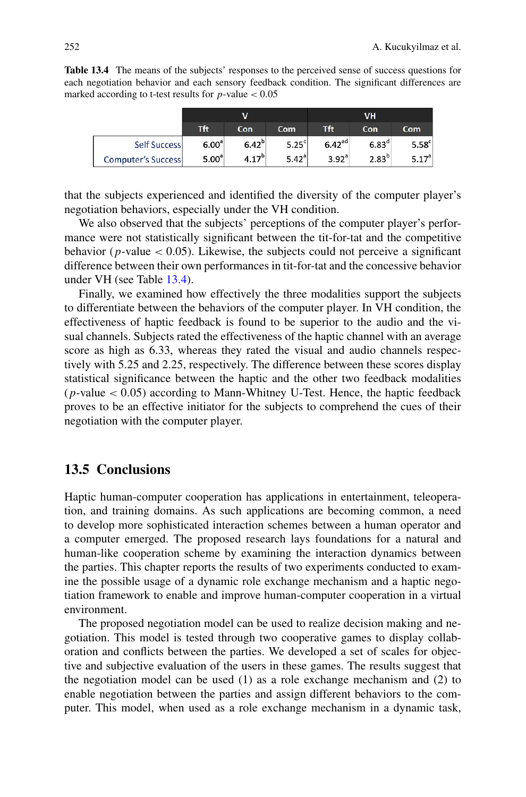<span id="page-23-1"></span>**Table 13.4** The means of the subjects' responses to the perceived sense of success questions for each negotiation behavior and each sensory feedback condition. The significant differences are marked according to t-test results for *p*-value *<* 0*.*05

|                    |                   |                   |                | <b>VH</b>          |                   |                |  |
|--------------------|-------------------|-------------------|----------------|--------------------|-------------------|----------------|--|
|                    | Tft               | Con               | Com            | Tft                | Con               | Com            |  |
| Self Success       | 6.00 <sup>a</sup> | 6.42 <sup>b</sup> | $5.25^{\circ}$ | 6.42 <sup>ad</sup> | 6.83 <sup>d</sup> | $5.58^{\circ}$ |  |
| Computer's Success | 5.00 <sup>a</sup> | $4.17^{b}$        | $5.42^a$       | $3.92^{a}$         | $2.83^{b}$        |                |  |

that the subjects experienced and identified the diversity of the computer player's negotiation behaviors, especially under the VH condition.

We also observed that the subjects' perceptions of the computer player's performance were not statistically significant between the tit-for-tat and the competitive behavior ( $p$ -value  $\lt$  0.05). Likewise, the subjects could not perceive a significant difference between their own performances in tit-for-tat and the concessive behavior under VH (see Table [13.4](#page-23-1)).

<span id="page-23-0"></span>Finally, we examined how effectively the three modalities support the subjects to differentiate between the behaviors of the computer player. In VH condition, the effectiveness of haptic feedback is found to be superior to the audio and the visual channels. Subjects rated the effectiveness of the haptic channel with an average score as high as 6.33, whereas they rated the visual and audio channels respectively with 5.25 and 2.25, respectively. The difference between these scores display statistical significance between the haptic and the other two feedback modalities (*p*-value *<* 0*.*05) according to Mann-Whitney U-Test. Hence, the haptic feedback proves to be an effective initiator for the subjects to comprehend the cues of their negotiation with the computer player.

### **13.5 Conclusions**

Haptic human-computer cooperation has applications in entertainment, teleoperation, and training domains. As such applications are becoming common, a need to develop more sophisticated interaction schemes between a human operator and a computer emerged. The proposed research lays foundations for a natural and human-like cooperation scheme by examining the interaction dynamics between the parties. This chapter reports the results of two experiments conducted to examine the possible usage of a dynamic role exchange mechanism and a haptic negotiation framework to enable and improve human-computer cooperation in a virtual environment.

The proposed negotiation model can be used to realize decision making and negotiation. This model is tested through two cooperative games to display collaboration and conflicts between the parties. We developed a set of scales for objective and subjective evaluation of the users in these games. The results suggest that the negotiation model can be used (1) as a role exchange mechanism and (2) to enable negotiation between the parties and assign different behaviors to the computer. This model, when used as a role exchange mechanism in a dynamic task,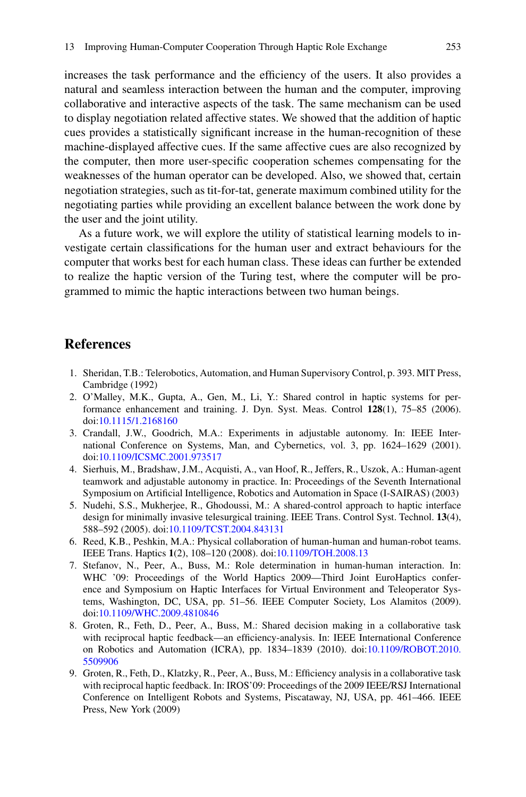increases the task performance and the efficiency of the users. It also provides a natural and seamless interaction between the human and the computer, improving collaborative and interactive aspects of the task. The same mechanism can be used to display negotiation related affective states. We showed that the addition of haptic cues provides a statistically significant increase in the human-recognition of these machine-displayed affective cues. If the same affective cues are also recognized by the computer, then more user-specific cooperation schemes compensating for the weaknesses of the human operator can be developed. Also, we showed that, certain negotiation strategies, such as tit-for-tat, generate maximum combined utility for the negotiating parties while providing an excellent balance between the work done by the user and the joint utility.

<span id="page-24-1"></span><span id="page-24-0"></span>As a future work, we will explore the utility of statistical learning models to investigate certain classifications for the human user and extract behaviours for the computer that works best for each human class. These ideas can further be extended to realize the haptic version of the Turing test, where the computer will be programmed to mimic the haptic interactions between two human beings.

### <span id="page-24-3"></span><span id="page-24-2"></span>**References**

- 1. Sheridan, T.B.: Telerobotics, Automation, and Human Supervisory Control, p. 393. MIT Press, Cambridge (1992)
- <span id="page-24-4"></span>2. O'Malley, M.K., Gupta, A., Gen, M., Li, Y.: Shared control in haptic systems for performance enhancement and training. J. Dyn. Syst. Meas. Control **128**(1), 75–85 (2006). doi:[10.1115/1.2168160](http://dx.doi.org/10.1115/1.2168160)
- <span id="page-24-5"></span>3. Crandall, J.W., Goodrich, M.A.: Experiments in adjustable autonomy. In: IEEE International Conference on Systems, Man, and Cybernetics, vol. 3, pp. 1624–1629 (2001). doi:[10.1109/ICSMC.2001.973517](http://dx.doi.org/10.1109/ICSMC.2001.973517)
- <span id="page-24-6"></span>4. Sierhuis, M., Bradshaw, J.M., Acquisti, A., van Hoof, R., Jeffers, R., Uszok, A.: Human-agent teamwork and adjustable autonomy in practice. In: Proceedings of the Seventh International Symposium on Artificial Intelligence, Robotics and Automation in Space (I-SAIRAS) (2003)
- <span id="page-24-7"></span>5. Nudehi, S.S., Mukherjee, R., Ghodoussi, M.: A shared-control approach to haptic interface design for minimally invasive telesurgical training. IEEE Trans. Control Syst. Technol. **13**(4), 588–592 (2005). doi[:10.1109/TCST.2004.843131](http://dx.doi.org/10.1109/TCST.2004.843131)
- 6. Reed, K.B., Peshkin, M.A.: Physical collaboration of human-human and human-robot teams. IEEE Trans. Haptics **1**(2), 108–120 (2008). doi[:10.1109/TOH.2008.13](http://dx.doi.org/10.1109/TOH.2008.13)
- <span id="page-24-8"></span>7. Stefanov, N., Peer, A., Buss, M.: Role determination in human-human interaction. In: WHC '09: Proceedings of the World Haptics 2009—Third Joint EuroHaptics conference and Symposium on Haptic Interfaces for Virtual Environment and Teleoperator Systems, Washington, DC, USA, pp. 51–56. IEEE Computer Society, Los Alamitos (2009). doi:[10.1109/WHC.2009.4810846](http://dx.doi.org/10.1109/WHC.2009.4810846)
- 8. Groten, R., Feth, D., Peer, A., Buss, M.: Shared decision making in a collaborative task with reciprocal haptic feedback—an efficiency-analysis. In: IEEE International Conference on Robotics and Automation (ICRA), pp. 1834–1839 (2010). doi:[10.1109/ROBOT.2010.](http://dx.doi.org/10.1109/ROBOT.2010.5509906) [5509906](http://dx.doi.org/10.1109/ROBOT.2010.5509906)
- 9. Groten, R., Feth, D., Klatzky, R., Peer, A., Buss, M.: Efficiency analysis in a collaborative task with reciprocal haptic feedback. In: IROS'09: Proceedings of the 2009 IEEE/RSJ International Conference on Intelligent Robots and Systems, Piscataway, NJ, USA, pp. 461–466. IEEE Press, New York (2009)